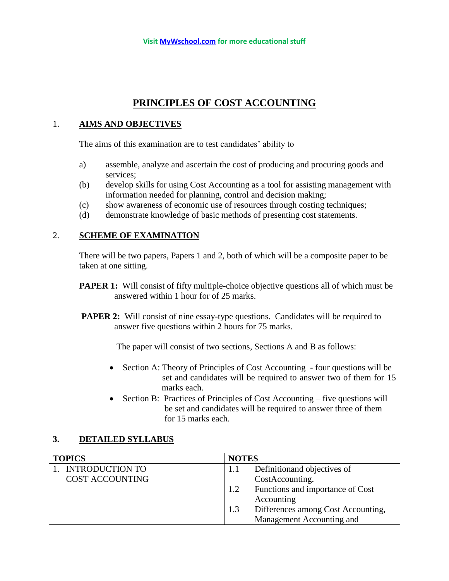# **PRINCIPLES OF COST ACCOUNTING**

### 1. **AIMS AND OBJECTIVES**

The aims of this examination are to test candidates' ability to

- a) assemble, analyze and ascertain the cost of producing and procuring goods and services;
- (b) develop skills for using Cost Accounting as a tool for assisting management with information needed for planning, control and decision making;
- (c) show awareness of economic use of resources through costing techniques;
- (d) demonstrate knowledge of basic methods of presenting cost statements.

#### 2. **SCHEME OF EXAMINATION**

There will be two papers, Papers 1 and 2, both of which will be a composite paper to be taken at one sitting.

- **PAPER 1:** Will consist of fifty multiple-choice objective questions all of which must be answered within 1 hour for of 25 marks.
- **PAPER 2:** Will consist of nine essay-type questions. Candidates will be required to answer five questions within 2 hours for 75 marks.

The paper will consist of two sections, Sections A and B as follows:

- Section A: Theory of Principles of Cost Accounting four questions will be set and candidates will be required to answer two of them for 15 marks each.
- Section B: Practices of Principles of Cost Accounting five questions will be set and candidates will be required to answer three of them for 15 marks each.

## **3. DETAILED SYLLABUS**

| <b>TOPICS</b>          | <b>NOTES</b>                            |
|------------------------|-----------------------------------------|
| <b>INTRODUCTION TO</b> | Definition and objectives of            |
| <b>COST ACCOUNTING</b> | CostAccounting.                         |
|                        | Functions and importance of Cost<br>1.2 |
|                        | Accounting                              |
|                        | Differences among Cost Accounting,      |
|                        | Management Accounting and               |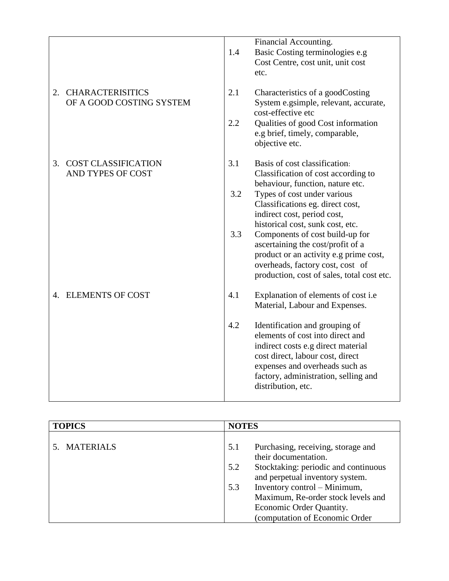|                                  |     | Financial Accounting.                      |
|----------------------------------|-----|--------------------------------------------|
|                                  |     |                                            |
|                                  | 1.4 | Basic Costing terminologies e.g            |
|                                  |     | Cost Centre, cost unit, unit cost          |
|                                  |     | etc.                                       |
|                                  |     |                                            |
| <b>CHARACTERISITICS</b><br>2.    | 2.1 | Characteristics of a goodCosting           |
| OF A GOOD COSTING SYSTEM         |     | System e.gsimple, relevant, accurate,      |
|                                  |     | cost-effective etc                         |
|                                  | 2.2 | Qualities of good Cost information         |
|                                  |     | e.g brief, timely, comparable,             |
|                                  |     | objective etc.                             |
|                                  |     |                                            |
| 3.<br><b>COST CLASSIFICATION</b> | 3.1 | Basis of cost classification:              |
| AND TYPES OF COST                |     | Classification of cost according to        |
|                                  |     | behaviour, function, nature etc.           |
|                                  | 3.2 |                                            |
|                                  |     | Types of cost under various                |
|                                  |     | Classifications eg. direct cost,           |
|                                  |     | indirect cost, period cost,                |
|                                  |     | historical cost, sunk cost, etc.           |
|                                  | 3.3 | Components of cost build-up for            |
|                                  |     | ascertaining the cost/profit of a          |
|                                  |     | product or an activity e.g prime cost,     |
|                                  |     | overheads, factory cost, cost of           |
|                                  |     | production, cost of sales, total cost etc. |
| 4. ELEMENTS OF COST              | 4.1 | Explanation of elements of cost i.e        |
|                                  |     | Material, Labour and Expenses.             |
|                                  | 4.2 | Identification and grouping of             |
|                                  |     | elements of cost into direct and           |
|                                  |     | indirect costs e.g direct material         |
|                                  |     | cost direct, labour cost, direct           |
|                                  |     |                                            |
|                                  |     | expenses and overheads such as             |
|                                  |     | factory, administration, selling and       |
|                                  |     | distribution, etc.                         |
|                                  |     |                                            |

| <b>TOPICS</b> | <b>NOTES</b>                                |
|---------------|---------------------------------------------|
|               |                                             |
| 5. MATERIALS  | Purchasing, receiving, storage and<br>5.1   |
|               | their documentation.                        |
|               | Stocktaking: periodic and continuous<br>5.2 |
|               | and perpetual inventory system.             |
|               | Inventory control – Minimum,<br>5.3         |
|               | Maximum, Re-order stock levels and          |
|               | Economic Order Quantity.                    |
|               | (computation of Economic Order              |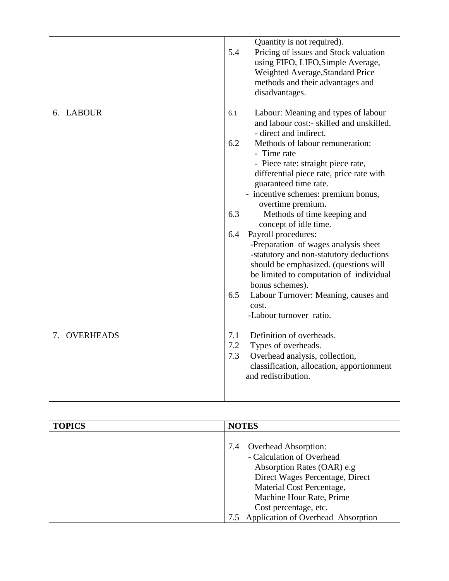|                        | Quantity is not required).<br>5.4<br>Pricing of issues and Stock valuation<br>using FIFO, LIFO, Simple Average,<br>Weighted Average, Standard Price<br>methods and their advantages and<br>disadvantages.                    |
|------------------------|------------------------------------------------------------------------------------------------------------------------------------------------------------------------------------------------------------------------------|
| 6. LABOUR              | Labour: Meaning and types of labour<br>6.1<br>and labour cost:- skilled and unskilled.<br>- direct and indirect.                                                                                                             |
|                        | 6.2<br>Methods of labour remuneration:<br>- Time rate<br>- Piece rate: straight piece rate,<br>differential piece rate, price rate with<br>guaranteed time rate.<br>- incentive schemes: premium bonus,<br>overtime premium. |
|                        | 6.3<br>Methods of time keeping and<br>concept of idle time.                                                                                                                                                                  |
|                        | Payroll procedures:<br>6.4<br>-Preparation of wages analysis sheet<br>-statutory and non-statutory deductions<br>should be emphasized. (questions will<br>be limited to computation of individual<br>bonus schemes).         |
|                        | 6.5<br>Labour Turnover: Meaning, causes and<br>cost.<br>-Labour turnover ratio.                                                                                                                                              |
| <b>OVERHEADS</b><br>7. | Definition of overheads.<br>7.1<br>7.2<br>Types of overheads.<br>7.3<br>Overhead analysis, collection,<br>classification, allocation, apportionment<br>and redistribution.                                                   |

| <b>TOPICS</b> | <b>NOTES</b>                       |
|---------------|------------------------------------|
|               |                                    |
|               | <b>Overhead Absorption:</b><br>7.4 |
|               | - Calculation of Overhead          |
|               | Absorption Rates (OAR) e.g         |
|               | Direct Wages Percentage, Direct    |
|               | Material Cost Percentage,          |
|               | Machine Hour Rate, Prime           |
|               | Cost percentage, etc.              |
|               | Application of Overhead Absorption |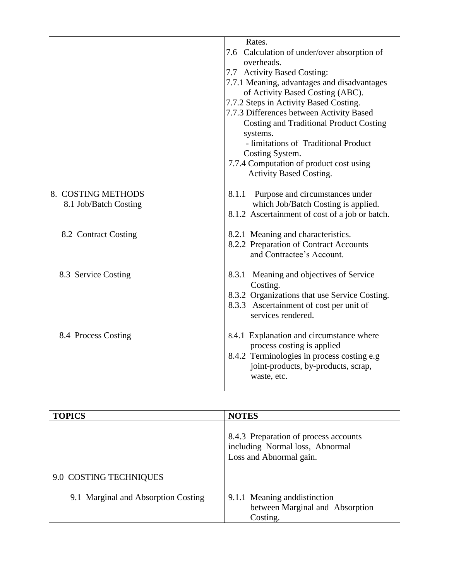|                                             | Rates.<br>7.6 Calculation of under/over absorption of<br>overheads.<br>7.7 Activity Based Costing:<br>7.7.1 Meaning, advantages and disadvantages<br>of Activity Based Costing (ABC).<br>7.7.2 Steps in Activity Based Costing.<br>7.7.3 Differences between Activity Based<br><b>Costing and Traditional Product Costing</b><br>systems.<br>- limitations of Traditional Product<br>Costing System.<br>7.7.4 Computation of product cost using<br><b>Activity Based Costing.</b> |
|---------------------------------------------|-----------------------------------------------------------------------------------------------------------------------------------------------------------------------------------------------------------------------------------------------------------------------------------------------------------------------------------------------------------------------------------------------------------------------------------------------------------------------------------|
| 8. COSTING METHODS<br>8.1 Job/Batch Costing | 8.1.1 Purpose and circumstances under<br>which Job/Batch Costing is applied.<br>8.1.2 Ascertainment of cost of a job or batch.                                                                                                                                                                                                                                                                                                                                                    |
| 8.2 Contract Costing                        | 8.2.1 Meaning and characteristics.<br>8.2.2 Preparation of Contract Accounts<br>and Contractee's Account.                                                                                                                                                                                                                                                                                                                                                                         |
| 8.3 Service Costing                         | 8.3.1 Meaning and objectives of Service<br>Costing.<br>8.3.2 Organizations that use Service Costing.<br>8.3.3 Ascertainment of cost per unit of<br>services rendered.                                                                                                                                                                                                                                                                                                             |
| 8.4 Process Costing                         | 8.4.1 Explanation and circumstance where<br>process costing is applied<br>8.4.2 Terminologies in process costing e.g<br>joint-products, by-products, scrap,<br>waste, etc.                                                                                                                                                                                                                                                                                                        |

| <b>TOPICS</b>                       | <b>NOTES</b>                                                                                        |
|-------------------------------------|-----------------------------------------------------------------------------------------------------|
|                                     | 8.4.3 Preparation of process accounts<br>including Normal loss, Abnormal<br>Loss and Abnormal gain. |
| 9.0 COSTING TECHNIQUES              |                                                                                                     |
| 9.1 Marginal and Absorption Costing | 9.1.1 Meaning and distinction<br>between Marginal and Absorption<br>Costing.                        |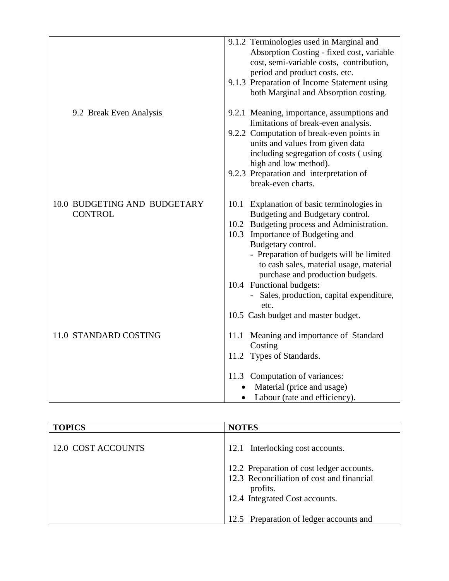|                                                | 9.1.2 Terminologies used in Marginal and<br>Absorption Costing - fixed cost, variable<br>cost, semi-variable costs, contribution,<br>period and product costs. etc.<br>9.1.3 Preparation of Income Statement using<br>both Marginal and Absorption costing.                                                                                                                                                                             |
|------------------------------------------------|-----------------------------------------------------------------------------------------------------------------------------------------------------------------------------------------------------------------------------------------------------------------------------------------------------------------------------------------------------------------------------------------------------------------------------------------|
| 9.2 Break Even Analysis                        | 9.2.1 Meaning, importance, assumptions and                                                                                                                                                                                                                                                                                                                                                                                              |
|                                                | limitations of break-even analysis.<br>9.2.2 Computation of break-even points in<br>units and values from given data<br>including segregation of costs (using<br>high and low method).                                                                                                                                                                                                                                                  |
|                                                | 9.2.3 Preparation and interpretation of<br>break-even charts.                                                                                                                                                                                                                                                                                                                                                                           |
| 10.0 BUDGETING AND BUDGETARY<br><b>CONTROL</b> | 10.1 Explanation of basic terminologies in<br>Budgeting and Budgetary control.<br>10.2 Budgeting process and Administration.<br>10.3 Importance of Budgeting and<br>Budgetary control.<br>- Preparation of budgets will be limited<br>to cash sales, material usage, material<br>purchase and production budgets.<br>10.4 Functional budgets:<br>Sales, production, capital expenditure,<br>etc.<br>10.5 Cash budget and master budget. |
| 11.0 STANDARD COSTING                          | 11.1 Meaning and importance of Standard<br>Costing<br>11.2 Types of Standards.                                                                                                                                                                                                                                                                                                                                                          |
|                                                | 11.3 Computation of variances:<br>Material (price and usage)<br>Labour (rate and efficiency).<br>$\bullet$                                                                                                                                                                                                                                                                                                                              |

| <b>TOPICS</b>      | <b>NOTES</b>                                                                                                                         |
|--------------------|--------------------------------------------------------------------------------------------------------------------------------------|
| 12.0 COST ACCOUNTS | 12.1 Interlocking cost accounts.                                                                                                     |
|                    | 12.2 Preparation of cost ledger accounts.<br>12.3 Reconciliation of cost and financial<br>profits.<br>12.4 Integrated Cost accounts. |
|                    | 12.5 Preparation of ledger accounts and                                                                                              |